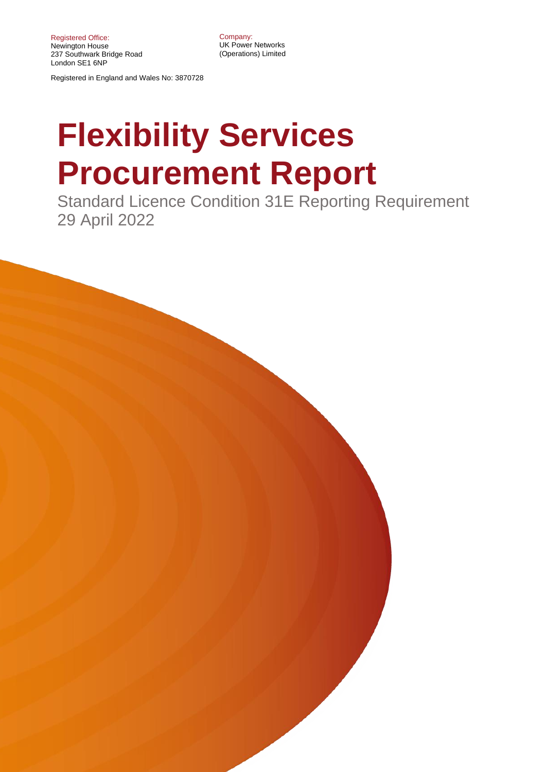Company: UK Power Networks (Operations) Limited

Registered in England and Wales No: 3870728

# **Flexibility Services Procurement Report**

Standard Licence Condition 31E Reporting Requirement 29 April 2022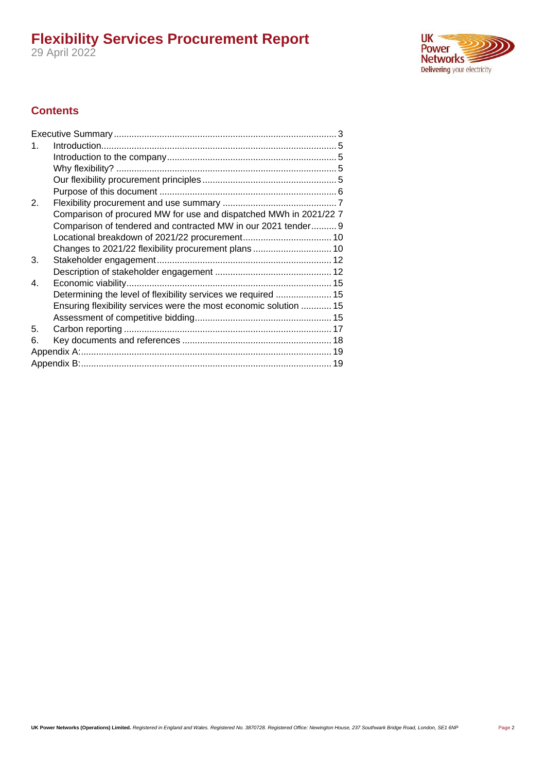**UK**<br>Power Networks Delivering your electricity

#### **Contents**

| 1. |                                                                   |  |  |  |
|----|-------------------------------------------------------------------|--|--|--|
|    |                                                                   |  |  |  |
|    |                                                                   |  |  |  |
|    |                                                                   |  |  |  |
|    |                                                                   |  |  |  |
| 2. |                                                                   |  |  |  |
|    | Comparison of procured MW for use and dispatched MWh in 2021/22 7 |  |  |  |
|    | Comparison of tendered and contracted MW in our 2021 tender 9     |  |  |  |
|    |                                                                   |  |  |  |
|    |                                                                   |  |  |  |
| 3. |                                                                   |  |  |  |
|    |                                                                   |  |  |  |
| 4. |                                                                   |  |  |  |
|    | Determining the level of flexibility services we required  15     |  |  |  |
|    | Ensuring flexibility services were the most economic solution  15 |  |  |  |
|    |                                                                   |  |  |  |
| 5. |                                                                   |  |  |  |
| 6. |                                                                   |  |  |  |
|    |                                                                   |  |  |  |
|    |                                                                   |  |  |  |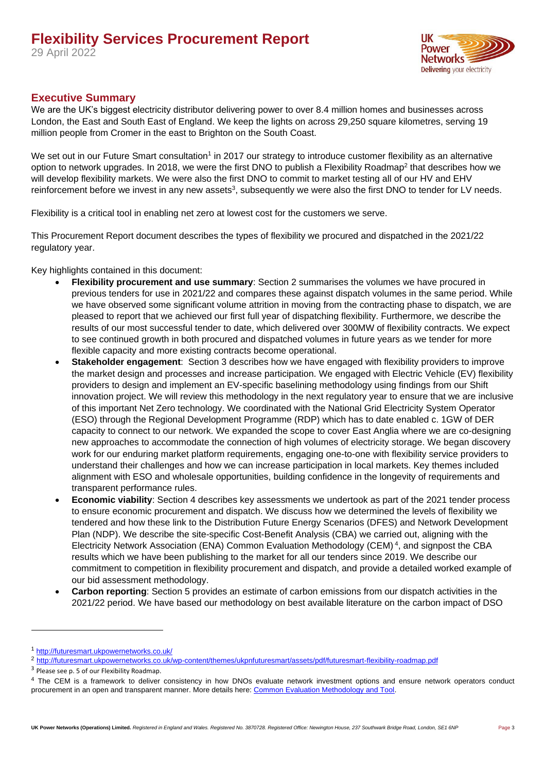

#### <span id="page-2-0"></span>**Executive Summary**

We are the UK's biggest electricity distributor delivering power to over 8.4 million homes and businesses across London, the East and South East of England. We keep the lights on across 29,250 square kilometres, serving 19 million people from Cromer in the east to Brighton on the South Coast.

We set out in our Future Smart consultation<sup>1</sup> in 2017 our strategy to introduce customer flexibility as an alternative option to network upgrades. In 2018, we were the first DNO to publish a Flexibility Roadmap<sup>2</sup> that describes how we will develop flexibility markets. We were also the first DNO to commit to market testing all of our HV and EHV reinforcement before we invest in any new assets<sup>3</sup>, subsequently we were also the first DNO to tender for LV needs.

Flexibility is a critical tool in enabling net zero at lowest cost for the customers we serve.

This Procurement Report document describes the types of flexibility we procured and dispatched in the 2021/22 regulatory year.

Key highlights contained in this document:

- **Flexibility procurement and use summary**: Section 2 summarises the volumes we have procured in previous tenders for use in 2021/22 and compares these against dispatch volumes in the same period. While we have observed some significant volume attrition in moving from the contracting phase to dispatch, we are pleased to report that we achieved our first full year of dispatching flexibility. Furthermore, we describe the results of our most successful tender to date, which delivered over 300MW of flexibility contracts. We expect to see continued growth in both procured and dispatched volumes in future years as we tender for more flexible capacity and more existing contracts become operational.
- **Stakeholder engagement**: Section 3 describes how we have engaged with flexibility providers to improve the market design and processes and increase participation. We engaged with Electric Vehicle (EV) flexibility providers to design and implement an EV-specific baselining methodology using findings from our Shift innovation project. We will review this methodology in the next regulatory year to ensure that we are inclusive of this important Net Zero technology. We coordinated with the National Grid Electricity System Operator (ESO) through the Regional Development Programme (RDP) which has to date enabled c. 1GW of DER capacity to connect to our network. We expanded the scope to cover East Anglia where we are co-designing new approaches to accommodate the connection of high volumes of electricity storage. We began discovery work for our enduring market platform requirements, engaging one-to-one with flexibility service providers to understand their challenges and how we can increase participation in local markets. Key themes included alignment with ESO and wholesale opportunities, building confidence in the longevity of requirements and transparent performance rules.
- **Economic viability**: Section 4 describes key assessments we undertook as part of the 2021 tender process to ensure economic procurement and dispatch. We discuss how we determined the levels of flexibility we tendered and how these link to the Distribution Future Energy Scenarios (DFES) and Network Development Plan (NDP). We describe the site-specific Cost-Benefit Analysis (CBA) we carried out, aligning with the Electricity Network Association (ENA) Common Evaluation Methodology (CEM)<sup>4</sup>, and signpost the CBA results which we have been publishing to the market for all our tenders since 2019. We describe our commitment to competition in flexibility procurement and dispatch, and provide a detailed worked example of our bid assessment methodology.
- **Carbon reporting**: Section 5 provides an estimate of carbon emissions from our dispatch activities in the 2021/22 period. We have based our methodology on best available literature on the carbon impact of DSO

<sup>1</sup> <http://futuresmart.ukpowernetworks.co.uk/>

<sup>2</sup> <http://futuresmart.ukpowernetworks.co.uk/wp-content/themes/ukpnfuturesmart/assets/pdf/futuresmart-flexibility-roadmap.pdf>

<sup>&</sup>lt;sup>3</sup> Please see p. 5 of our Flexibility Roadmap.

<sup>&</sup>lt;sup>4</sup> The CEM is a framework to deliver consistency in how DNOs evaluate network investment options and ensure network operators conduct procurement in an open and transparent manner. More details here: [Common Evaluation Methodology and Tool.](https://www.energynetworks.org/assets/images/Resource%20library/ON21-WS1A-P1%20Common%20Evaluation%20Methodology%20(CEM)%20v2.0%20%20(14%20Jan%202022).pdf)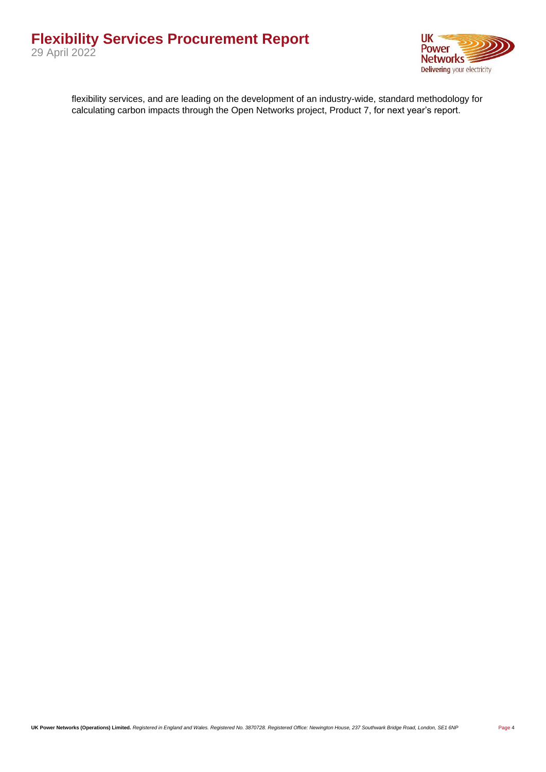

flexibility services, and are leading on the development of an industry-wide, standard methodology for calculating carbon impacts through the Open Networks project, Product 7, for next year's report.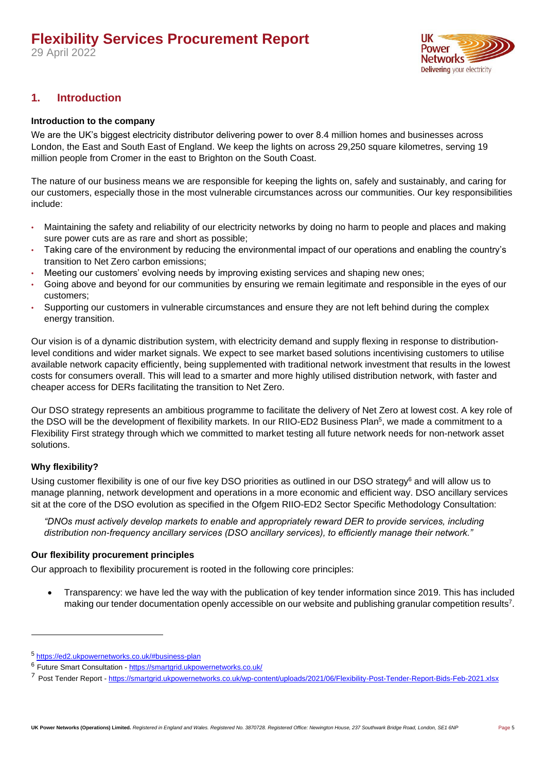29 April 2022



#### <span id="page-4-0"></span>**1. Introduction**

#### <span id="page-4-1"></span>**Introduction to the company**

We are the UK's biggest electricity distributor delivering power to over 8.4 million homes and businesses across London, the East and South East of England. We keep the lights on across 29,250 square kilometres, serving 19 million people from Cromer in the east to Brighton on the South Coast.

The nature of our business means we are responsible for keeping the lights on, safely and sustainably, and caring for our customers, especially those in the most vulnerable circumstances across our communities. Our key responsibilities include:

- Maintaining the safety and reliability of our electricity networks by doing no harm to people and places and making sure power cuts are as rare and short as possible;
- Taking care of the environment by reducing the environmental impact of our operations and enabling the country's transition to Net Zero carbon emissions;
- Meeting our customers' evolving needs by improving existing services and shaping new ones;
- Going above and beyond for our communities by ensuring we remain legitimate and responsible in the eyes of our customers;
- Supporting our customers in vulnerable circumstances and ensure they are not left behind during the complex energy transition.

Our vision is of a dynamic distribution system, with electricity demand and supply flexing in response to distributionlevel conditions and wider market signals. We expect to see market based solutions incentivising customers to utilise available network capacity efficiently, being supplemented with traditional network investment that results in the lowest costs for consumers overall. This will lead to a smarter and more highly utilised distribution network, with faster and cheaper access for DERs facilitating the transition to Net Zero.

Our DSO strategy represents an ambitious programme to facilitate the delivery of Net Zero at lowest cost. A key role of the DSO will be the development of flexibility markets. In our RIIO-ED2 Business Plan<sup>5</sup>, we made a commitment to a Flexibility First strategy through which we committed to market testing all future network needs for non-network asset solutions.

#### <span id="page-4-2"></span>**Why flexibility?**

Using customer flexibility is one of our five key DSO priorities as outlined in our DSO strategy<sup>6</sup> and will allow us to manage planning, network development and operations in a more economic and efficient way. DSO ancillary services sit at the core of the DSO evolution as specified in the Ofgem RIIO-ED2 Sector Specific Methodology Consultation:

*"DNOs must actively develop markets to enable and appropriately reward DER to provide services, including distribution non-frequency ancillary services (DSO ancillary services), to efficiently manage their network."*

#### <span id="page-4-3"></span>**Our flexibility procurement principles**

Our approach to flexibility procurement is rooted in the following core principles:

• Transparency: we have led the way with the publication of key tender information since 2019. This has included making our tender documentation openly accessible on our website and publishing granular competition results<sup>7</sup>.

<sup>5</sup> <https://ed2.ukpowernetworks.co.uk/#business-plan>

<sup>&</sup>lt;sup>6</sup> Future Smart Consultation - <https://smartgrid.ukpowernetworks.co.uk/>

<sup>7</sup> Post Tender Report - <https://smartgrid.ukpowernetworks.co.uk/wp-content/uploads/2021/06/Flexibility-Post-Tender-Report-Bids-Feb-2021.xlsx>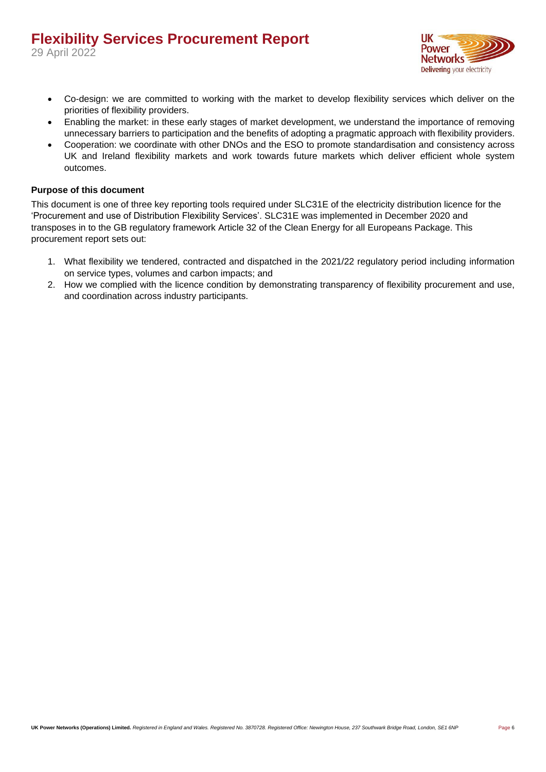

- Co-design: we are committed to working with the market to develop flexibility services which deliver on the priorities of flexibility providers.
- Enabling the market: in these early stages of market development, we understand the importance of removing unnecessary barriers to participation and the benefits of adopting a pragmatic approach with flexibility providers.
- Cooperation: we coordinate with other DNOs and the ESO to promote standardisation and consistency across UK and Ireland flexibility markets and work towards future markets which deliver efficient whole system outcomes.

#### <span id="page-5-0"></span>**Purpose of this document**

This document is one of three key reporting tools required under SLC31E of the electricity distribution licence for the 'Procurement and use of Distribution Flexibility Services'. SLC31E was implemented in December 2020 and transposes in to the GB regulatory framework Article 32 of the Clean Energy for all Europeans Package. This procurement report sets out:

- 1. What flexibility we tendered, contracted and dispatched in the 2021/22 regulatory period including information on service types, volumes and carbon impacts; and
- 2. How we complied with the licence condition by demonstrating transparency of flexibility procurement and use, and coordination across industry participants.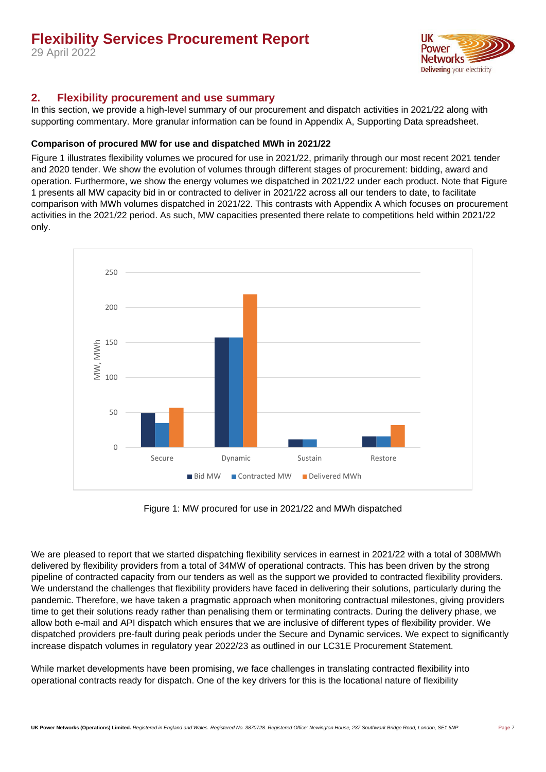29 April 2022



#### <span id="page-6-0"></span>**2. Flexibility procurement and use summary**

In this section, we provide a high-level summary of our procurement and dispatch activities in 2021/22 along with supporting commentary. More granular information can be found in Appendix A, Supporting Data spreadsheet.

#### <span id="page-6-1"></span>**Comparison of procured MW for use and dispatched MWh in 2021/22**

[Figure](#page-6-2) 1 illustrates flexibility volumes we procured for use in 2021/22, primarily through our most recent 2021 tender and 2020 tender. We show the evolution of volumes through different stages of procurement: bidding, award and operation. Furthermore, we show the energy volumes we dispatched in 2021/22 under each product. Note that [Figure](#page-6-2) [1](#page-6-2) presents all MW capacity bid in or contracted to deliver in 2021/22 across all our tenders to date, to facilitate comparison with MWh volumes dispatched in 2021/22. This contrasts with Appendix A which focuses on procurement activities in the 2021/22 period. As such, MW capacities presented there relate to competitions held within 2021/22 only.



Figure 1: MW procured for use in 2021/22 and MWh dispatched

<span id="page-6-2"></span>We are pleased to report that we started dispatching flexibility services in earnest in 2021/22 with a total of 308MWh delivered by flexibility providers from a total of 34MW of operational contracts. This has been driven by the strong pipeline of contracted capacity from our tenders as well as the support we provided to contracted flexibility providers. We understand the challenges that flexibility providers have faced in delivering their solutions, particularly during the pandemic. Therefore, we have taken a pragmatic approach when monitoring contractual milestones, giving providers time to get their solutions ready rather than penalising them or terminating contracts. During the delivery phase, we allow both e-mail and API dispatch which ensures that we are inclusive of different types of flexibility provider. We dispatched providers pre-fault during peak periods under the Secure and Dynamic services. We expect to significantly increase dispatch volumes in regulatory year 2022/23 as outlined in our LC31E Procurement Statement.

While market developments have been promising, we face challenges in translating contracted flexibility into operational contracts ready for dispatch. One of the key drivers for this is the locational nature of flexibility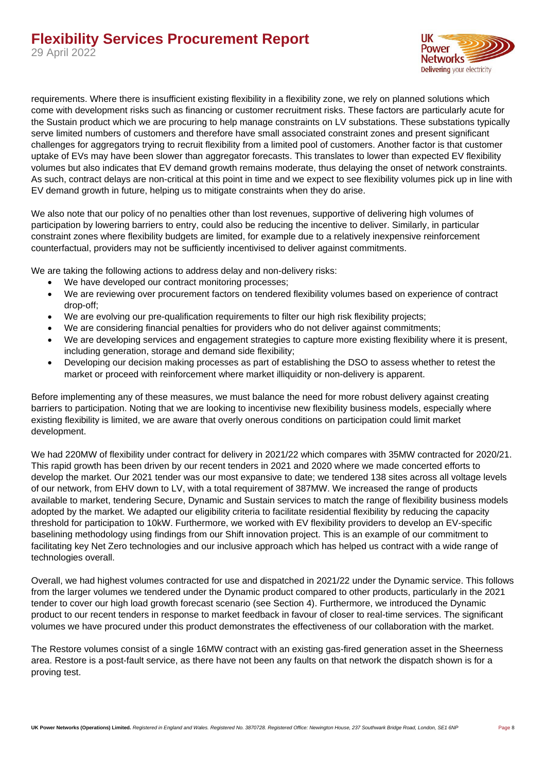

requirements. Where there is insufficient existing flexibility in a flexibility zone, we rely on planned solutions which come with development risks such as financing or customer recruitment risks. These factors are particularly acute for the Sustain product which we are procuring to help manage constraints on LV substations. These substations typically serve limited numbers of customers and therefore have small associated constraint zones and present significant challenges for aggregators trying to recruit flexibility from a limited pool of customers. Another factor is that customer uptake of EVs may have been slower than aggregator forecasts. This translates to lower than expected EV flexibility volumes but also indicates that EV demand growth remains moderate, thus delaying the onset of network constraints. As such, contract delays are non-critical at this point in time and we expect to see flexibility volumes pick up in line with EV demand growth in future, helping us to mitigate constraints when they do arise.

We also note that our policy of no penalties other than lost revenues, supportive of delivering high volumes of participation by lowering barriers to entry, could also be reducing the incentive to deliver. Similarly, in particular constraint zones where flexibility budgets are limited, for example due to a relatively inexpensive reinforcement counterfactual, providers may not be sufficiently incentivised to deliver against commitments.

We are taking the following actions to address delay and non-delivery risks:

- We have developed our contract monitoring processes;
- We are reviewing over procurement factors on tendered flexibility volumes based on experience of contract drop-off;
- We are evolving our pre-qualification requirements to filter our high risk flexibility projects;
- We are considering financial penalties for providers who do not deliver against commitments;
- We are developing services and engagement strategies to capture more existing flexibility where it is present, including generation, storage and demand side flexibility;
- Developing our decision making processes as part of establishing the DSO to assess whether to retest the market or proceed with reinforcement where market illiquidity or non-delivery is apparent.

Before implementing any of these measures, we must balance the need for more robust delivery against creating barriers to participation. Noting that we are looking to incentivise new flexibility business models, especially where existing flexibility is limited, we are aware that overly onerous conditions on participation could limit market development.

We had 220MW of flexibility under contract for delivery in 2021/22 which compares with 35MW contracted for 2020/21. This rapid growth has been driven by our recent tenders in 2021 and 2020 where we made concerted efforts to develop the market. Our 2021 tender was our most expansive to date; we tendered 138 sites across all voltage levels of our network, from EHV down to LV, with a total requirement of 387MW. We increased the range of products available to market, tendering Secure, Dynamic and Sustain services to match the range of flexibility business models adopted by the market. We adapted our eligibility criteria to facilitate residential flexibility by reducing the capacity threshold for participation to 10kW. Furthermore, we worked with EV flexibility providers to develop an EV-specific baselining methodology using findings from our Shift innovation project. This is an example of our commitment to facilitating key Net Zero technologies and our inclusive approach which has helped us contract with a wide range of technologies overall.

Overall, we had highest volumes contracted for use and dispatched in 2021/22 under the Dynamic service. This follows from the larger volumes we tendered under the Dynamic product compared to other products, particularly in the 2021 tender to cover our high load growth forecast scenario (see Section 4). Furthermore, we introduced the Dynamic product to our recent tenders in response to market feedback in favour of closer to real-time services. The significant volumes we have procured under this product demonstrates the effectiveness of our collaboration with the market.

The Restore volumes consist of a single 16MW contract with an existing gas-fired generation asset in the Sheerness area. Restore is a post-fault service, as there have not been any faults on that network the dispatch shown is for a proving test.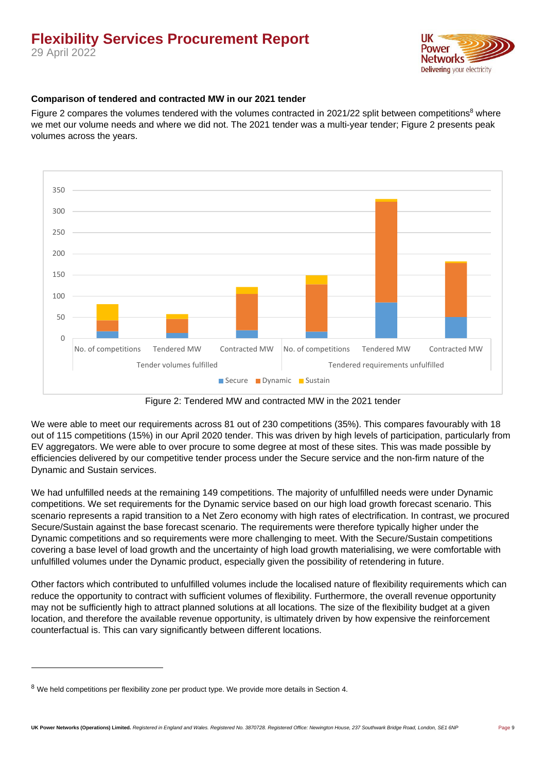29 April 2022



#### <span id="page-8-0"></span>**Comparison of tendered and contracted MW in our 2021 tender**

[Figure 2](#page-8-1) compares the volumes tendered with the volumes contracted in 2021/22 split between competitions<sup>8</sup> where we met our volume needs and where we did not. The 2021 tender was a multi-year tender; [Figure 2](#page-8-1) presents peak volumes across the years.



Figure 2: Tendered MW and contracted MW in the 2021 tender

<span id="page-8-1"></span>We were able to meet our requirements across 81 out of 230 competitions (35%). This compares favourably with 18 out of 115 competitions (15%) in our April 2020 tender. This was driven by high levels of participation, particularly from EV aggregators. We were able to over procure to some degree at most of these sites. This was made possible by efficiencies delivered by our competitive tender process under the Secure service and the non-firm nature of the Dynamic and Sustain services.

We had unfulfilled needs at the remaining 149 competitions. The majority of unfulfilled needs were under Dynamic competitions. We set requirements for the Dynamic service based on our high load growth forecast scenario. This scenario represents a rapid transition to a Net Zero economy with high rates of electrification. In contrast, we procured Secure/Sustain against the base forecast scenario. The requirements were therefore typically higher under the Dynamic competitions and so requirements were more challenging to meet. With the Secure/Sustain competitions covering a base level of load growth and the uncertainty of high load growth materialising, we were comfortable with unfulfilled volumes under the Dynamic product, especially given the possibility of retendering in future.

Other factors which contributed to unfulfilled volumes include the localised nature of flexibility requirements which can reduce the opportunity to contract with sufficient volumes of flexibility. Furthermore, the overall revenue opportunity may not be sufficiently high to attract planned solutions at all locations. The size of the flexibility budget at a given location, and therefore the available revenue opportunity, is ultimately driven by how expensive the reinforcement counterfactual is. This can vary significantly between different locations.

<sup>&</sup>lt;sup>8</sup> We held competitions per flexibility zone per product type. We provide more details in Section 4.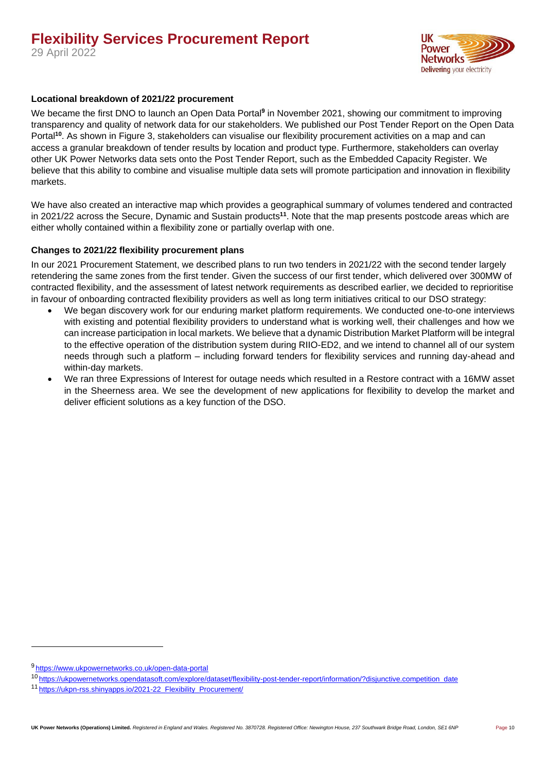

#### <span id="page-9-0"></span>**Locational breakdown of 2021/22 procurement**

We became the first DNO to launch an Open Data Portal**<sup>9</sup>** in November 2021, showing our commitment to improving transparency and quality of network data for our stakeholders. We published our Post Tender Report on the Open Data Portal<sup>10</sup>. As shown in [Figure 3,](#page-10-0) stakeholders can visualise our flexibility procurement activities on a map and can access a granular breakdown of tender results by location and product type. Furthermore, stakeholders can overlay other UK Power Networks data sets onto the Post Tender Report, such as the Embedded Capacity Register. We believe that this ability to combine and visualise multiple data sets will promote participation and innovation in flexibility markets.

We have also created an interactive map which provides a geographical summary of volumes tendered and contracted in 2021/22 across the Secure, Dynamic and Sustain products**<sup>11</sup>**. Note that the map presents postcode areas which are either wholly contained within a flexibility zone or partially overlap with one.

#### <span id="page-9-1"></span>**Changes to 2021/22 flexibility procurement plans**

In our 2021 Procurement Statement, we described plans to run two tenders in 2021/22 with the second tender largely retendering the same zones from the first tender. Given the success of our first tender, which delivered over 300MW of contracted flexibility, and the assessment of latest network requirements as described earlier, we decided to reprioritise in favour of onboarding contracted flexibility providers as well as long term initiatives critical to our DSO strategy:

- We began discovery work for our enduring market platform requirements. We conducted one-to-one interviews with existing and potential flexibility providers to understand what is working well, their challenges and how we can increase participation in local markets. We believe that a dynamic Distribution Market Platform will be integral to the effective operation of the distribution system during RIIO-ED2, and we intend to channel all of our system needs through such a platform – including forward tenders for flexibility services and running day-ahead and within-day markets.
- We ran three Expressions of Interest for outage needs which resulted in a Restore contract with a 16MW asset in the Sheerness area. We see the development of new applications for flexibility to develop the market and deliver efficient solutions as a key function of the DSO.

<sup>9</sup> <https://www.ukpowernetworks.co.uk/open-data-portal>

<sup>10</sup> [https://ukpowernetworks.opendatasoft.com/explore/dataset/flexibility-post-tender-report/information/?disjunctive.competition\\_date](https://ukpowernetworks.opendatasoft.com/explore/dataset/flexibility-post-tender-report/information/?disjunctive.competition_date)

<sup>11</sup> [https://ukpn-rss.shinyapps.io/2021-22\\_Flexibility\\_Procurement/](https://ukpn-rss.shinyapps.io/2021-22_Flexibility_Procurement/)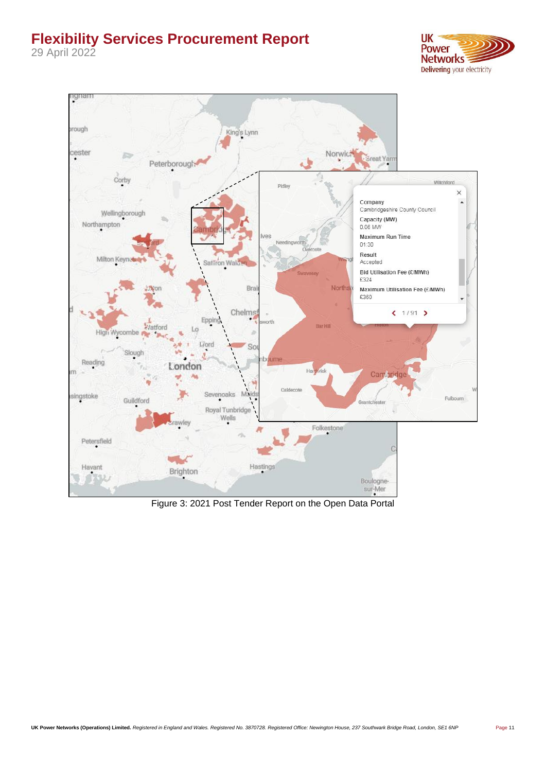29 April 2022



<span id="page-10-0"></span>

Figure 3: 2021 Post Tender Report on the Open Data Portal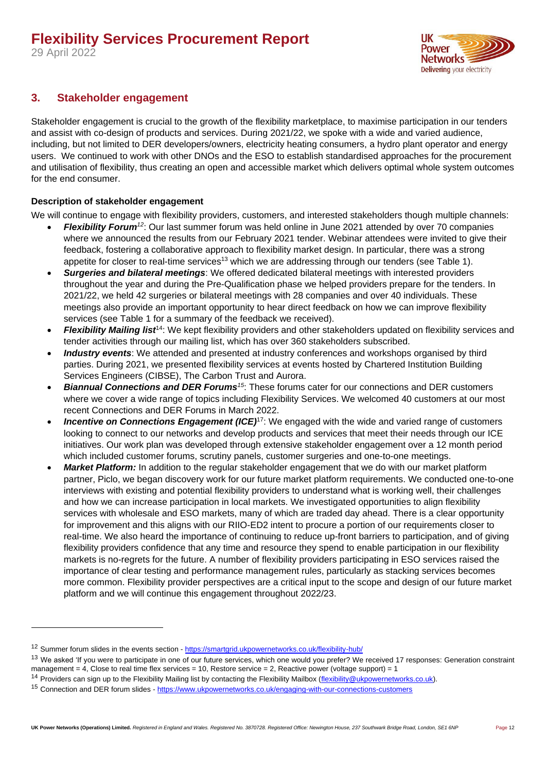ШK Power **Networks** Delivering your electricity

#### <span id="page-11-0"></span>**3. Stakeholder engagement**

Stakeholder engagement is crucial to the growth of the flexibility marketplace, to maximise participation in our tenders and assist with co-design of products and services. During 2021/22, we spoke with a wide and varied audience, including, but not limited to DER developers/owners, electricity heating consumers, a hydro plant operator and energy users. We continued to work with other DNOs and the ESO to establish standardised approaches for the procurement and utilisation of flexibility, thus creating an open and accessible market which delivers optimal whole system outcomes for the end consumer.

#### <span id="page-11-1"></span>**Description of stakeholder engagement**

We will continue to engage with flexibility providers, customers, and interested stakeholders though multiple channels:

- *Flexibility Forum<sup>12</sup>*: Our last summer forum was held online in June 2021 attended by over 70 companies where we announced the results from our February 2021 tender. Webinar attendees were invited to give their feedback, fostering a collaborative approach to flexibility market design. In particular, there was a strong appetite for closer to real-time services<sup>13</sup> which we are addressing through our tenders (see [Table 1\)](#page-12-0).
- *Surgeries and bilateral meetings*: We offered dedicated bilateral meetings with interested providers throughout the year and during the Pre-Qualification phase we helped providers prepare for the tenders. In 2021/22, we held 42 surgeries or bilateral meetings with 28 companies and over 40 individuals. These meetings also provide an important opportunity to hear direct feedback on how we can improve flexibility services (see [Table 1](#page-12-0) for a summary of the feedback we received).
- **Flexibility Mailing list<sup>14</sup>:** We kept flexibility providers and other stakeholders updated on flexibility services and tender activities through our mailing list, which has over 360 stakeholders subscribed.
- *Industry events*: We attended and presented at industry conferences and workshops organised by third parties. During 2021, we presented flexibility services at events hosted by Chartered Institution Building Services Engineers (CIBSE), The Carbon Trust and Aurora.
- *Biannual Connections and DER Forums<sup>15</sup>*: These forums cater for our connections and DER customers where we cover a wide range of topics including Flexibility Services. We welcomed 40 customers at our most recent Connections and DER Forums in March 2022.
- **Incentive on Connections Engagement (ICE)<sup>17</sup>:** We engaged with the wide and varied range of customers looking to connect to our networks and develop products and services that meet their needs through our ICE initiatives. Our work plan was developed through extensive stakeholder engagement over a 12 month period which included customer forums, scrutiny panels, customer surgeries and one-to-one meetings.
- Market Platform: In addition to the regular stakeholder engagement that we do with our market platform partner, Piclo, we began discovery work for our future market platform requirements. We conducted one-to-one interviews with existing and potential flexibility providers to understand what is working well, their challenges and how we can increase participation in local markets. We investigated opportunities to align flexibility services with wholesale and ESO markets, many of which are traded day ahead. There is a clear opportunity for improvement and this aligns with our RIIO-ED2 intent to procure a portion of our requirements closer to real-time. We also heard the importance of continuing to reduce up-front barriers to participation, and of giving flexibility providers confidence that any time and resource they spend to enable participation in our flexibility markets is no-regrets for the future. A number of flexibility providers participating in ESO services raised the importance of clear testing and performance management rules, particularly as stacking services becomes more common. Flexibility provider perspectives are a critical input to the scope and design of our future market platform and we will continue this engagement throughout 2022/23.

<sup>&</sup>lt;sup>12</sup> Summer forum slides in the events section - <https://smartgrid.ukpowernetworks.co.uk/flexibility-hub/>

<sup>&</sup>lt;sup>13</sup> We asked 'If you were to participate in one of our future services, which one would you prefer? We received 17 responses: Generation constraint management =  $4$ , Close to real time flex services = 10, Restore service = 2, Reactive power (voltage support) = 1

<sup>&</sup>lt;sup>14</sup> Providers can sign up to the Flexibility Mailing list by contacting the Flexibility Mailbox (*flexibility@ukpowernetworks.co.uk*).

<sup>&</sup>lt;sup>15</sup> Connection and DER forum slides - <https://www.ukpowernetworks.co.uk/engaging-with-our-connections-customers>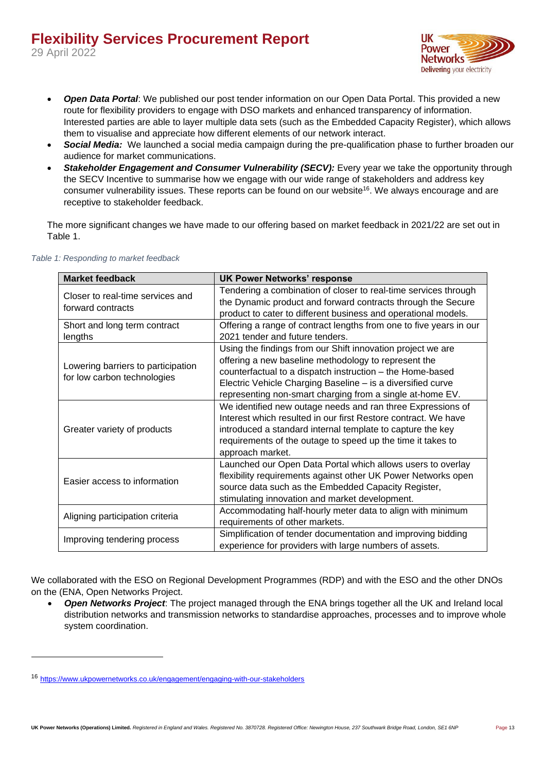29 April 2022



- *Open Data Portal*: We published our post tender information on our Open Data Portal. This provided a new route for flexibility providers to engage with DSO markets and enhanced transparency of information. Interested parties are able to layer multiple data sets (such as the Embedded Capacity Register), which allows them to visualise and appreciate how different elements of our network interact.
- *Social Media:* We launched a social media campaign during the pre-qualification phase to further broaden our audience for market communications.
- **Stakeholder Engagement and Consumer Vulnerability (SECV):** Every year we take the opportunity through the SECV Incentive to summarise how we engage with our wide range of stakeholders and address key consumer vulnerability issues. These reports can be found on our website<sup>16</sup>. We always encourage and are receptive to stakeholder feedback.

The more significant changes we have made to our offering based on market feedback in 2021/22 are set out in [Table 1.](#page-12-0)

| <b>Market feedback</b>                                            | <b>UK Power Networks' response</b>                                                                                                                                                                                                                                                                           |
|-------------------------------------------------------------------|--------------------------------------------------------------------------------------------------------------------------------------------------------------------------------------------------------------------------------------------------------------------------------------------------------------|
| Closer to real-time services and<br>forward contracts             | Tendering a combination of closer to real-time services through<br>the Dynamic product and forward contracts through the Secure<br>product to cater to different business and operational models.                                                                                                            |
| Short and long term contract<br>lengths                           | Offering a range of contract lengths from one to five years in our<br>2021 tender and future tenders.                                                                                                                                                                                                        |
| Lowering barriers to participation<br>for low carbon technologies | Using the findings from our Shift innovation project we are<br>offering a new baseline methodology to represent the<br>counterfactual to a dispatch instruction - the Home-based<br>Electric Vehicle Charging Baseline - is a diversified curve<br>representing non-smart charging from a single at-home EV. |
| Greater variety of products                                       | We identified new outage needs and ran three Expressions of<br>Interest which resulted in our first Restore contract. We have<br>introduced a standard internal template to capture the key<br>requirements of the outage to speed up the time it takes to<br>approach market.                               |
| Easier access to information                                      | Launched our Open Data Portal which allows users to overlay<br>flexibility requirements against other UK Power Networks open<br>source data such as the Embedded Capacity Register,<br>stimulating innovation and market development.                                                                        |
| Aligning participation criteria                                   | Accommodating half-hourly meter data to align with minimum<br>requirements of other markets.                                                                                                                                                                                                                 |
| Improving tendering process                                       | Simplification of tender documentation and improving bidding<br>experience for providers with large numbers of assets.                                                                                                                                                                                       |

#### <span id="page-12-0"></span>*Table 1: Responding to market feedback*

We collaborated with the ESO on Regional Development Programmes (RDP) and with the ESO and the other DNOs on the (ENA, Open Networks Project.

• *Open Networks Project*: The project managed through the ENA brings together all the UK and Ireland local distribution networks and transmission networks to standardise approaches, processes and to improve whole system coordination.

<sup>16</sup> <https://www.ukpowernetworks.co.uk/engagement/engaging-with-our-stakeholders>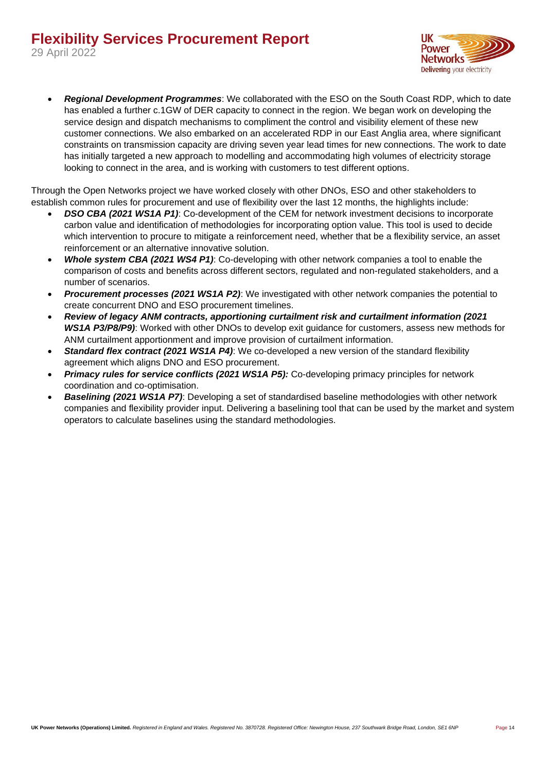

• *Regional Development Programmes*: We collaborated with the ESO on the South Coast RDP, which to date has enabled a further c.1GW of DER capacity to connect in the region. We began work on developing the service design and dispatch mechanisms to compliment the control and visibility element of these new customer connections. We also embarked on an accelerated RDP in our East Anglia area, where significant constraints on transmission capacity are driving seven year lead times for new connections. The work to date has initially targeted a new approach to modelling and accommodating high volumes of electricity storage looking to connect in the area, and is working with customers to test different options.

Through the Open Networks project we have worked closely with other DNOs, ESO and other stakeholders to establish common rules for procurement and use of flexibility over the last 12 months, the highlights include:

- *DSO CBA (2021 WS1A P1)*: Co-development of the CEM for network investment decisions to incorporate carbon value and identification of methodologies for incorporating option value. This tool is used to decide which intervention to procure to mitigate a reinforcement need, whether that be a flexibility service, an asset reinforcement or an alternative innovative solution.
- *Whole system CBA (2021 WS4 P1)*: Co-developing with other network companies a tool to enable the comparison of costs and benefits across different sectors, regulated and non-regulated stakeholders, and a number of scenarios.
- *Procurement processes (2021 WS1A P2)*: We investigated with other network companies the potential to create concurrent DNO and ESO procurement timelines.
- *Review of legacy ANM contracts, apportioning curtailment risk and curtailment information (2021 WS1A P3/P8/P9)*: Worked with other DNOs to develop exit guidance for customers, assess new methods for ANM curtailment apportionment and improve provision of curtailment information.
- *Standard flex contract (2021 WS1A P4)*: We co-developed a new version of the standard flexibility agreement which aligns DNO and ESO procurement.
- *Primacy rules for service conflicts (2021 WS1A P5):* Co-developing primacy principles for network coordination and co-optimisation.
- *Baselining (2021 WS1A P7)*: Developing a set of standardised baseline methodologies with other network companies and flexibility provider input. Delivering a baselining tool that can be used by the market and system operators to calculate baselines using the standard methodologies.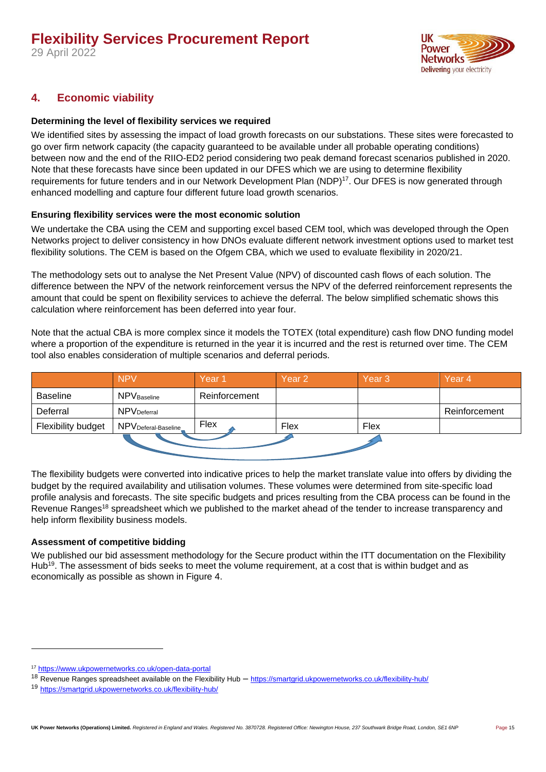29 April 2022



#### <span id="page-14-0"></span>**4. Economic viability**

#### <span id="page-14-1"></span>**Determining the level of flexibility services we required**

We identified sites by assessing the impact of load growth forecasts on our substations. These sites were forecasted to go over firm network capacity (the capacity guaranteed to be available under all probable operating conditions) between now and the end of the RIIO-ED2 period considering two peak demand forecast scenarios published in 2020. Note that these forecasts have since been updated in our DFES which we are using to determine flexibility requirements for future tenders and in our Network Development Plan (NDP)<sup>17</sup>. Our DFES is now generated through enhanced modelling and capture four different future load growth scenarios.

#### <span id="page-14-2"></span>**Ensuring flexibility services were the most economic solution**

We undertake the CBA using the CEM and supporting excel based CEM tool, which was developed through the Open Networks project to deliver consistency in how DNOs evaluate different network investment options used to market test flexibility solutions. The CEM is based on the Ofgem CBA, which we used to evaluate flexibility in 2020/21.

The methodology sets out to analyse the Net Present Value (NPV) of discounted cash flows of each solution. The difference between the NPV of the network reinforcement versus the NPV of the deferred reinforcement represents the amount that could be spent on flexibility services to achieve the deferral. The below simplified schematic shows this calculation where reinforcement has been deferred into year four.

Note that the actual CBA is more complex since it models the TOTEX (total expenditure) cash flow DNO funding model where a proportion of the expenditure is returned in the year it is incurred and the rest is returned over time. The CEM tool also enables consideration of multiple scenarios and deferral periods.

|                    | <b>NPV</b>                      | Year <sub>1</sub> | Year 2 | Year <sub>3</sub> | Year <sub>4</sub> |
|--------------------|---------------------------------|-------------------|--------|-------------------|-------------------|
| Baseline           | <b>NPV</b> Baseline             | Reinforcement     |        |                   |                   |
| Deferral           | <b>NPV</b> Deferral             |                   |        |                   | Reinforcement     |
| Flexibility budget | NPV <sub>Deferal-Baseline</sub> | Flex              | Flex   | Flex              |                   |
|                    |                                 |                   |        |                   |                   |

The flexibility budgets were converted into indicative prices to help the market translate value into offers by dividing the budget by the required availability and utilisation volumes. These volumes were determined from site-specific load profile analysis and forecasts. The site specific budgets and prices resulting from the CBA process can be found in the Revenue Ranges<sup>18</sup> spreadsheet which we published to the market ahead of the tender to increase transparency and help inform flexibility business models.

#### <span id="page-14-3"></span>**Assessment of competitive bidding**

We published our bid assessment methodology for the Secure product within the ITT documentation on the Flexibility Hub<sup>19</sup>. The assessment of bids seeks to meet the volume requirement, at a cost that is within budget and as economically as possible as shown in [Figure 4.](#page-15-0)

<sup>17</sup> <https://www.ukpowernetworks.co.uk/open-data-portal>

<sup>18</sup> Revenue Ranges spreadsheet available on the Flexibility Hub – <https://smartgrid.ukpowernetworks.co.uk/flexibility-hub/>

<sup>19</sup> <https://smartgrid.ukpowernetworks.co.uk/flexibility-hub/>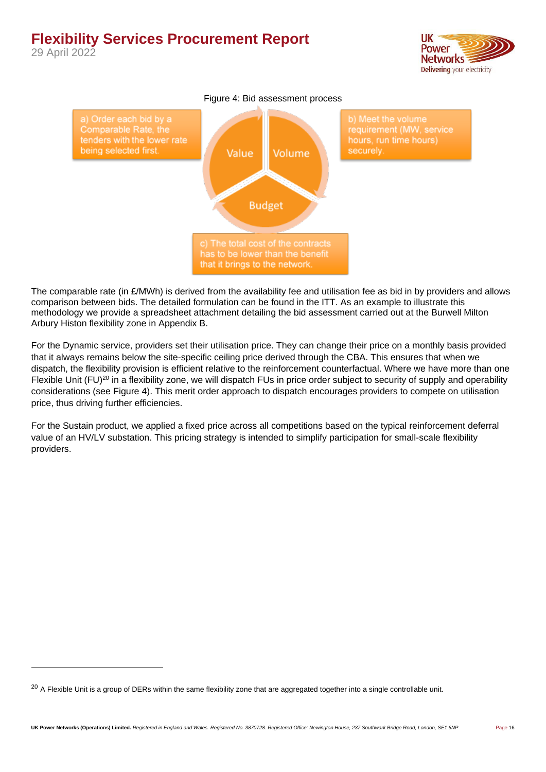29 April 2022



<span id="page-15-0"></span>

The comparable rate (in  $E/MWh$ ) is derived from the availability fee and utilisation fee as bid in by providers and allows comparison between bids. The detailed formulation can be found in the ITT. As an example to illustrate this methodology we provide a spreadsheet attachment detailing the bid assessment carried out at the Burwell Milton Arbury Histon flexibility zone in Appendix B.

For the Dynamic service, providers set their utilisation price. They can change their price on a monthly basis provided that it always remains below the site-specific ceiling price derived through the CBA. This ensures that when we dispatch, the flexibility provision is efficient relative to the reinforcement counterfactual. Where we have more than one Flexible Unit (FU)<sup>20</sup> in a flexibility zone, we will dispatch FUs in price order subject to security of supply and operability considerations (see [Figure 4\)](#page-15-0). This merit order approach to dispatch encourages providers to compete on utilisation price, thus driving further efficiencies.

For the Sustain product, we applied a fixed price across all competitions based on the typical reinforcement deferral value of an HV/LV substation. This pricing strategy is intended to simplify participation for small-scale flexibility providers.

 $^{20}$  A Flexible Unit is a group of DERs within the same flexibility zone that are aggregated together into a single controllable unit.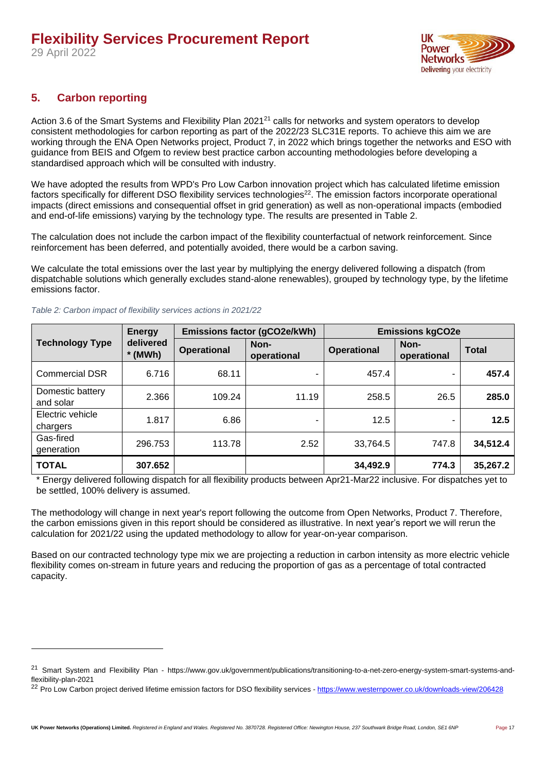

#### <span id="page-16-0"></span>**5. Carbon reporting**

Action 3.6 of the Smart Systems and Flexibility Plan 2021<sup>21</sup> calls for networks and system operators to develop consistent methodologies for carbon reporting as part of the 2022/23 SLC31E reports. To achieve this aim we are working through the ENA Open Networks project, Product 7, in 2022 which brings together the networks and ESO with guidance from BEIS and Ofgem to review best practice carbon accounting methodologies before developing a standardised approach which will be consulted with industry.

We have adopted the results from WPD's Pro Low Carbon innovation project which has calculated lifetime emission factors specifically for different DSO flexibility services technologies<sup>22</sup>. The emission factors incorporate operational impacts (direct emissions and consequential offset in grid generation) as well as non-operational impacts (embodied and end-of-life emissions) varying by the technology type. The results are presented in Table 2.

The calculation does not include the carbon impact of the flexibility counterfactual of network reinforcement. Since reinforcement has been deferred, and potentially avoided, there would be a carbon saving.

We calculate the total emissions over the last year by multiplying the energy delivered following a dispatch (from dispatchable solutions which generally excludes stand-alone renewables), grouped by technology type, by the lifetime emissions factor.

|                               | <b>Energy</b>          |                    | Emissions factor (gCO2e/kWh) | <b>Emissions kgCO2e</b> |                     |              |
|-------------------------------|------------------------|--------------------|------------------------------|-------------------------|---------------------|--------------|
| <b>Technology Type</b>        | delivered<br>$*$ (MWh) | <b>Operational</b> | Non-<br>operational          | <b>Operational</b>      | Non-<br>operational | <b>Total</b> |
| <b>Commercial DSR</b>         | 6.716                  | 68.11              | ۰                            | 457.4                   | -                   | 457.4        |
| Domestic battery<br>and solar | 2.366                  | 109.24             | 11.19                        | 258.5                   | 26.5                | 285.0        |
| Electric vehicle<br>chargers  | 1.817                  | 6.86               |                              | 12.5                    | -                   | 12.5         |
| Gas-fired<br>generation       | 296.753                | 113.78             | 2.52                         | 33,764.5                | 747.8               | 34,512.4     |
| <b>TOTAL</b>                  | 307.652                |                    |                              | 34,492.9                | 774.3               | 35,267.2     |

#### *Table 2: Carbon impact of flexibility services actions in 2021/22*

Energy delivered following dispatch for all flexibility products between Apr21-Mar22 inclusive. For dispatches yet to be settled, 100% delivery is assumed.

The methodology will change in next year's report following the outcome from Open Networks, Product 7. Therefore, the carbon emissions given in this report should be considered as illustrative. In next year's report we will rerun the calculation for 2021/22 using the updated methodology to allow for year-on-year comparison.

Based on our contracted technology type mix we are projecting a reduction in carbon intensity as more electric vehicle flexibility comes on-stream in future years and reducing the proportion of gas as a percentage of total contracted capacity.

<sup>&</sup>lt;sup>21</sup> Smart System and Flexibility Plan - https://www.gov.uk/government/publications/transitioning-to-a-net-zero-energy-system-smart-systems-andflexibility-plan-2021

<sup>&</sup>lt;sup>22</sup> Pro Low Carbon project derived lifetime emission factors for DSO flexibility services - <https://www.westernpower.co.uk/downloads-view/206428>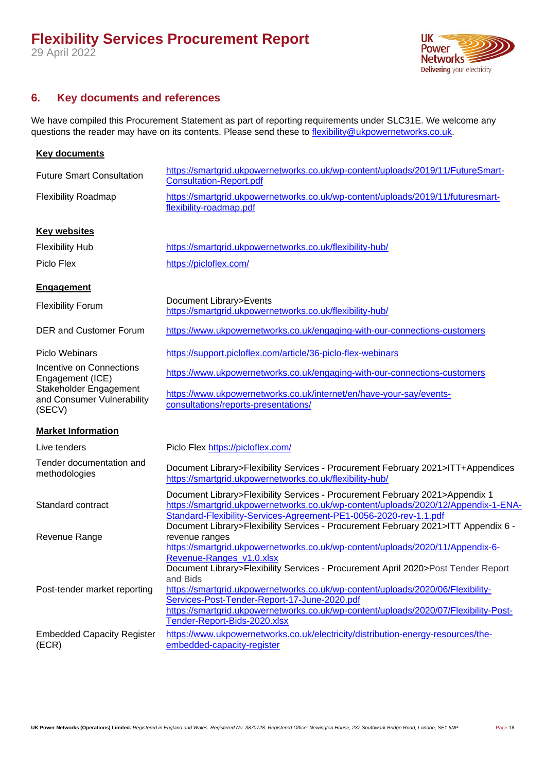29 April 2022



#### <span id="page-17-0"></span>**6. Key documents and references**

We have compiled this Procurement Statement as part of reporting requirements under SLC31E. We welcome any questions the reader may have on its contents. Please send these to [flexibility@ukpowernetworks.co.uk.](mailto:flexibility@ukpowernetworks.co.uk)

| <b>Key documents</b>                                           |                                                                                                                                                                                                                                                                                                                                                                                      |  |  |  |
|----------------------------------------------------------------|--------------------------------------------------------------------------------------------------------------------------------------------------------------------------------------------------------------------------------------------------------------------------------------------------------------------------------------------------------------------------------------|--|--|--|
| <b>Future Smart Consultation</b>                               | https://smartgrid.ukpowernetworks.co.uk/wp-content/uploads/2019/11/FutureSmart-<br><b>Consultation-Report.pdf</b>                                                                                                                                                                                                                                                                    |  |  |  |
| <b>Flexibility Roadmap</b>                                     | https://smartgrid.ukpowernetworks.co.uk/wp-content/uploads/2019/11/futuresmart-<br>flexibility-roadmap.pdf                                                                                                                                                                                                                                                                           |  |  |  |
| <b>Key websites</b>                                            |                                                                                                                                                                                                                                                                                                                                                                                      |  |  |  |
| <b>Flexibility Hub</b>                                         | https://smartgrid.ukpowernetworks.co.uk/flexibility-hub/                                                                                                                                                                                                                                                                                                                             |  |  |  |
| Piclo Flex                                                     | https://picloflex.com/                                                                                                                                                                                                                                                                                                                                                               |  |  |  |
| <b>Engagement</b>                                              |                                                                                                                                                                                                                                                                                                                                                                                      |  |  |  |
| <b>Flexibility Forum</b>                                       | Document Library>Events<br>https://smartgrid.ukpowernetworks.co.uk/flexibility-hub/                                                                                                                                                                                                                                                                                                  |  |  |  |
| <b>DER and Customer Forum</b>                                  | https://www.ukpowernetworks.co.uk/engaging-with-our-connections-customers                                                                                                                                                                                                                                                                                                            |  |  |  |
| <b>Piclo Webinars</b>                                          | https://support.picloflex.com/article/36-piclo-flex-webinars                                                                                                                                                                                                                                                                                                                         |  |  |  |
| Incentive on Connections<br>Engagement (ICE)                   | https://www.ukpowernetworks.co.uk/engaging-with-our-connections-customers                                                                                                                                                                                                                                                                                                            |  |  |  |
| Stakeholder Engagement<br>and Consumer Vulnerability<br>(SECV) | https://www.ukpowernetworks.co.uk/internet/en/have-your-say/events-<br>consultations/reports-presentations/                                                                                                                                                                                                                                                                          |  |  |  |
| <b>Market Information</b>                                      |                                                                                                                                                                                                                                                                                                                                                                                      |  |  |  |
| Live tenders                                                   | Piclo Flex https://picloflex.com/                                                                                                                                                                                                                                                                                                                                                    |  |  |  |
| Tender documentation and<br>methodologies                      | Document Library>Flexibility Services - Procurement February 2021>ITT+Appendices<br>https://smartgrid.ukpowernetworks.co.uk/flexibility-hub/                                                                                                                                                                                                                                         |  |  |  |
| Standard contract                                              | Document Library>Flexibility Services - Procurement February 2021>Appendix 1<br>https://smartgrid.ukpowernetworks.co.uk/wp-content/uploads/2020/12/Appendix-1-ENA-<br>Standard-Flexibility-Services-Agreement-PE1-0056-2020-rev-1.1.pdf<br>Document Library>Flexibility Services - Procurement February 2021>ITT Appendix 6 -                                                        |  |  |  |
| Revenue Range                                                  | revenue ranges<br>https://smartgrid.ukpowernetworks.co.uk/wp-content/uploads/2020/11/Appendix-6-                                                                                                                                                                                                                                                                                     |  |  |  |
| Post-tender market reporting                                   | Revenue-Ranges v1.0.xlsx<br>Document Library>Flexibility Services - Procurement April 2020>Post Tender Report<br>and Bids<br>https://smartgrid.ukpowernetworks.co.uk/wp-content/uploads/2020/06/Flexibility-<br>Services-Post-Tender-Report-17-June-2020.pdf<br>https://smartgrid.ukpowernetworks.co.uk/wp-content/uploads/2020/07/Flexibility-Post-<br>Tender-Report-Bids-2020.xlsx |  |  |  |
| <b>Embedded Capacity Register</b><br>(ECR)                     | https://www.ukpowernetworks.co.uk/electricity/distribution-energy-resources/the-<br>embedded-capacity-register                                                                                                                                                                                                                                                                       |  |  |  |